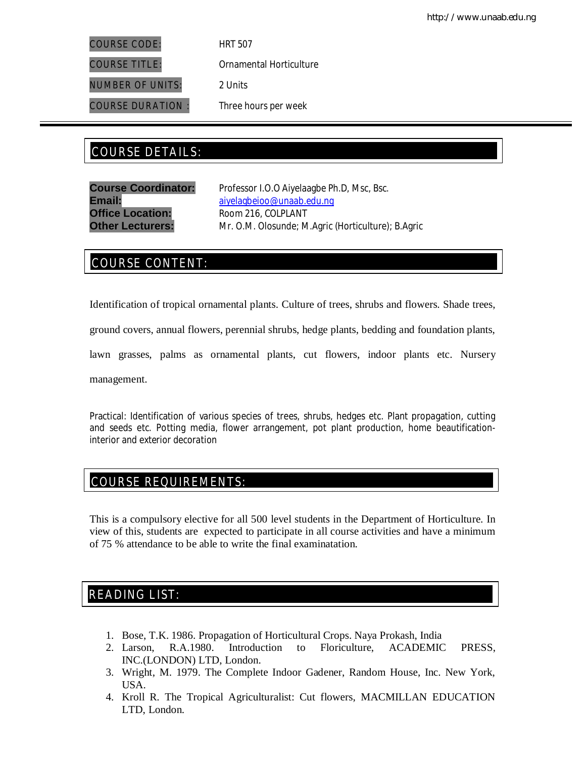COURSE CODE: HRT 507

COURSE TITLE: Ornamental Horticulture

NUMBER OF UNITS: 2 Units

COURSE DURATION : Three hours per week

# COURSE DETAILS: COURSE DETAILS:

**Office Location:** Room 216, COLPLANT

**Course Coordinator:** Professor I.O.O Aiyelaagbe Ph.D, Msc, Bsc. Email: aiyelagbeioo@unaab.edu.ng **Other Lecturers:** Mr. O.M. Olosunde; M.Agric (Horticulture); B.Agric

## COURSE CONTENT:

Identification of tropical ornamental plants. Culture of trees, shrubs and flowers. Shade trees,

ground covers, annual flowers, perennial shrubs, hedge plants, bedding and foundation plants,

lawn grasses, palms as ornamental plants, cut flowers, indoor plants etc. Nursery

management.

Practical: Identification of various species of trees, shrubs, hedges etc. Plant propagation, cutting and seeds etc. Potting media, flower arrangement, pot plant production, home beautificationinterior and exterior decoration

## COURSE REQUIREMENTS:

This is a compulsory elective for all 500 level students in the Department of Horticulture. In view of this, students are expected to participate in all course activities and have a minimum of 75 % attendance to be able to write the final examinatation.

## READING LIST:

- 1. Bose, T.K. 1986. Propagation of Horticultural Crops. Naya Prokash, India<br>2. Larson, R.A.1980. Introduction to Floriculture. ACADEMIC
- 2. Larson, R.A.1980. Introduction to Floriculture, ACADEMIC PRESS, INC.(LONDON) LTD, London.
- 3. Wright, M. 1979. The Complete Indoor Gadener, Random House, Inc. New York, USA.
- 4. Kroll R. The Tropical Agriculturalist: Cut flowers, MACMILLAN EDUCATION LTD, London.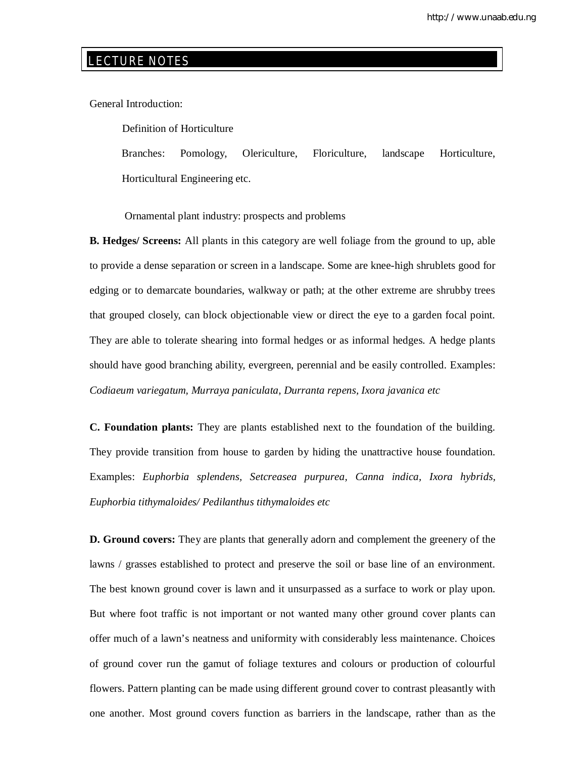## LECTURE NOTES

E

General Introduction:

Definition of Horticulture

 Branches: Pomology, Olericulture, Floriculture, landscape Horticulture, Horticultural Engineering etc.

Ornamental plant industry: prospects and problems

**B. Hedges/ Screens:** All plants in this category are well foliage from the ground to up, able to provide a dense separation or screen in a landscape. Some are knee-high shrublets good for edging or to demarcate boundaries, walkway or path; at the other extreme are shrubby trees that grouped closely, can block objectionable view or direct the eye to a garden focal point. They are able to tolerate shearing into formal hedges or as informal hedges. A hedge plants should have good branching ability, evergreen, perennial and be easily controlled. Examples: *Codiaeum variegatum, Murraya paniculata, Durranta repens, Ixora javanica etc*

**C. Foundation plants:** They are plants established next to the foundation of the building. They provide transition from house to garden by hiding the unattractive house foundation. Examples: *Euphorbia splendens, Setcreasea purpurea, Canna indica, Ixora hybrids, Euphorbia tithymaloides/ Pedilanthus tithymaloides etc*

**D. Ground covers:** They are plants that generally adorn and complement the greenery of the lawns / grasses established to protect and preserve the soil or base line of an environment. The best known ground cover is lawn and it unsurpassed as a surface to work or play upon. But where foot traffic is not important or not wanted many other ground cover plants can offer much of a lawn's neatness and uniformity with considerably less maintenance. Choices of ground cover run the gamut of foliage textures and colours or production of colourful flowers. Pattern planting can be made using different ground cover to contrast pleasantly with one another. Most ground covers function as barriers in the landscape, rather than as the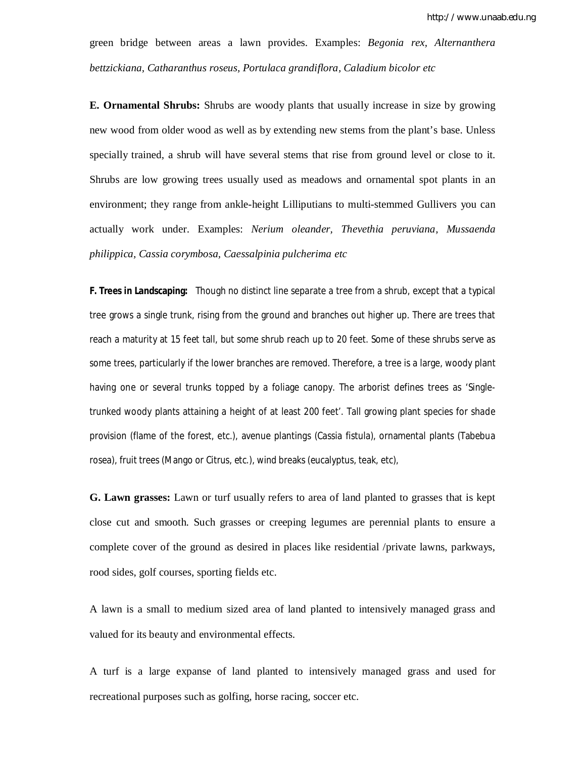green bridge between areas a lawn provides. Examples: *Begonia rex, Alternanthera bettzickiana, Catharanthus roseus, Portulaca grandiflora, Caladium bicolor etc*

**E. Ornamental Shrubs:** Shrubs are woody plants that usually increase in size by growing new wood from older wood as well as by extending new stems from the plant's base. Unless specially trained, a shrub will have several stems that rise from ground level or close to it. Shrubs are low growing trees usually used as meadows and ornamental spot plants in an environment; they range from ankle-height Lilliputians to multi-stemmed Gullivers you can actually work under. Examples: *Nerium oleander, Thevethia peruviana, Mussaenda philippica, Cassia corymbosa, Caessalpinia pulcherima etc*

**F. Trees in Landscaping:** Though no distinct line separate a tree from a shrub, except that a typical tree grows a single trunk, rising from the ground and branches out higher up. There are trees that reach a maturity at 15 feet tall, but some shrub reach up to 20 feet. Some of these shrubs serve as some trees, particularly if the lower branches are removed. Therefore, a tree is a large, woody plant having one or several trunks topped by a foliage canopy. The arborist defines trees as 'Singletrunked woody plants attaining a height of at least 200 feet'. Tall growing plant species for shade provision (flame of the forest, etc.), avenue plantings (Cassia fistula), ornamental plants (Tabebua rosea), fruit trees (Mango or Citrus, etc.), wind breaks (eucalyptus, teak, etc),

**G. Lawn grasses:** Lawn or turf usually refers to area of land planted to grasses that is kept close cut and smooth. Such grasses or creeping legumes are perennial plants to ensure a complete cover of the ground as desired in places like residential /private lawns, parkways, rood sides, golf courses, sporting fields etc.

A lawn is a small to medium sized area of land planted to intensively managed grass and valued for its beauty and environmental effects.

A turf is a large expanse of land planted to intensively managed grass and used for recreational purposes such as golfing, horse racing, soccer etc.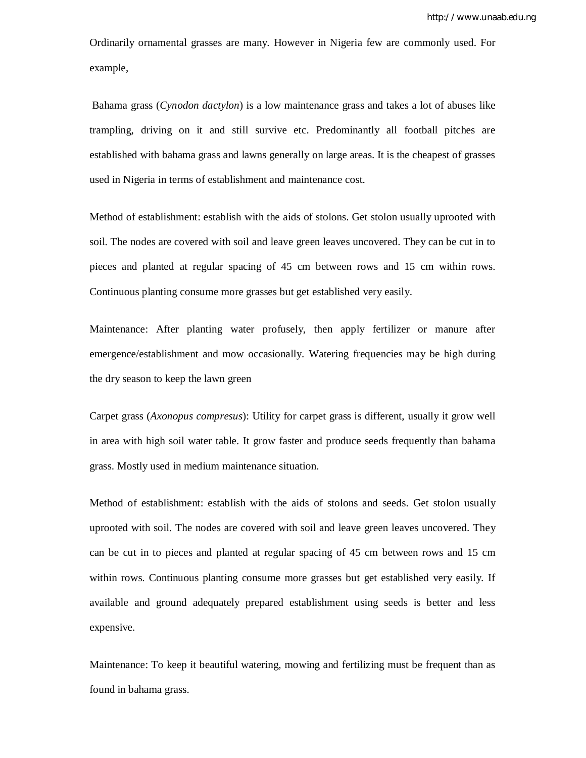Ordinarily ornamental grasses are many. However in Nigeria few are commonly used. For example,

Bahama grass (*Cynodon dactylon*) is a low maintenance grass and takes a lot of abuses like trampling, driving on it and still survive etc. Predominantly all football pitches are established with bahama grass and lawns generally on large areas. It is the cheapest of grasses used in Nigeria in terms of establishment and maintenance cost.

Method of establishment: establish with the aids of stolons. Get stolon usually uprooted with soil. The nodes are covered with soil and leave green leaves uncovered. They can be cut in to pieces and planted at regular spacing of 45 cm between rows and 15 cm within rows. Continuous planting consume more grasses but get established very easily.

Maintenance: After planting water profusely, then apply fertilizer or manure after emergence/establishment and mow occasionally. Watering frequencies may be high during the dry season to keep the lawn green

Carpet grass (*Axonopus compresus*): Utility for carpet grass is different, usually it grow well in area with high soil water table. It grow faster and produce seeds frequently than bahama grass. Mostly used in medium maintenance situation.

Method of establishment: establish with the aids of stolons and seeds. Get stolon usually uprooted with soil. The nodes are covered with soil and leave green leaves uncovered. They can be cut in to pieces and planted at regular spacing of 45 cm between rows and 15 cm within rows. Continuous planting consume more grasses but get established very easily. If available and ground adequately prepared establishment using seeds is better and less expensive.

Maintenance: To keep it beautiful watering, mowing and fertilizing must be frequent than as found in bahama grass.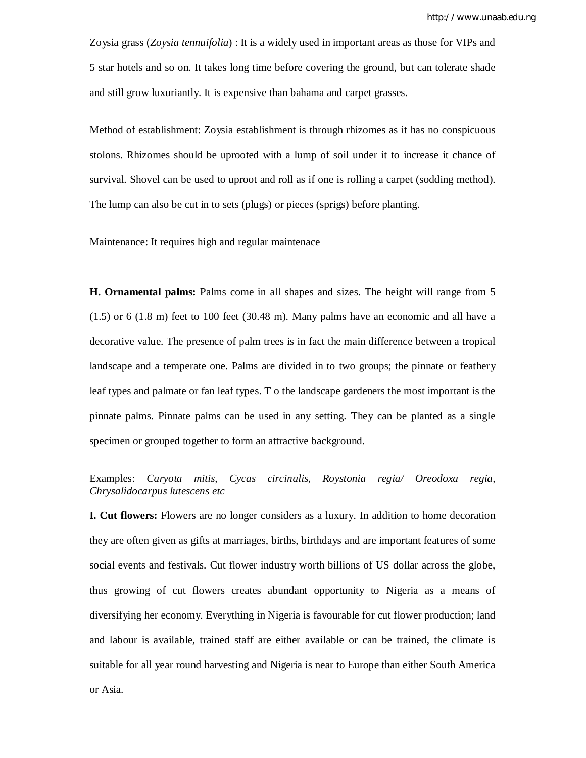Zoysia grass (*Zoysia tennuifolia*) : It is a widely used in important areas as those for VIPs and 5 star hotels and so on. It takes long time before covering the ground, but can tolerate shade and still grow luxuriantly. It is expensive than bahama and carpet grasses.

Method of establishment: Zoysia establishment is through rhizomes as it has no conspicuous stolons. Rhizomes should be uprooted with a lump of soil under it to increase it chance of survival. Shovel can be used to uproot and roll as if one is rolling a carpet (sodding method). The lump can also be cut in to sets (plugs) or pieces (sprigs) before planting.

Maintenance: It requires high and regular maintenace

**H. Ornamental palms:** Palms come in all shapes and sizes. The height will range from 5 (1.5) or 6 (1.8 m) feet to 100 feet (30.48 m). Many palms have an economic and all have a decorative value. The presence of palm trees is in fact the main difference between a tropical landscape and a temperate one. Palms are divided in to two groups; the pinnate or feathery leaf types and palmate or fan leaf types. T o the landscape gardeners the most important is the pinnate palms. Pinnate palms can be used in any setting. They can be planted as a single specimen or grouped together to form an attractive background.

Examples: *Caryota mitis, Cycas circinalis, Roystonia regia/ Oreodoxa regia, Chrysalidocarpus lutescens etc*

**I. Cut flowers:** Flowers are no longer considers as a luxury. In addition to home decoration they are often given as gifts at marriages, births, birthdays and are important features of some social events and festivals. Cut flower industry worth billions of US dollar across the globe, thus growing of cut flowers creates abundant opportunity to Nigeria as a means of diversifying her economy. Everything in Nigeria is favourable for cut flower production; land and labour is available, trained staff are either available or can be trained, the climate is suitable for all year round harvesting and Nigeria is near to Europe than either South America or Asia.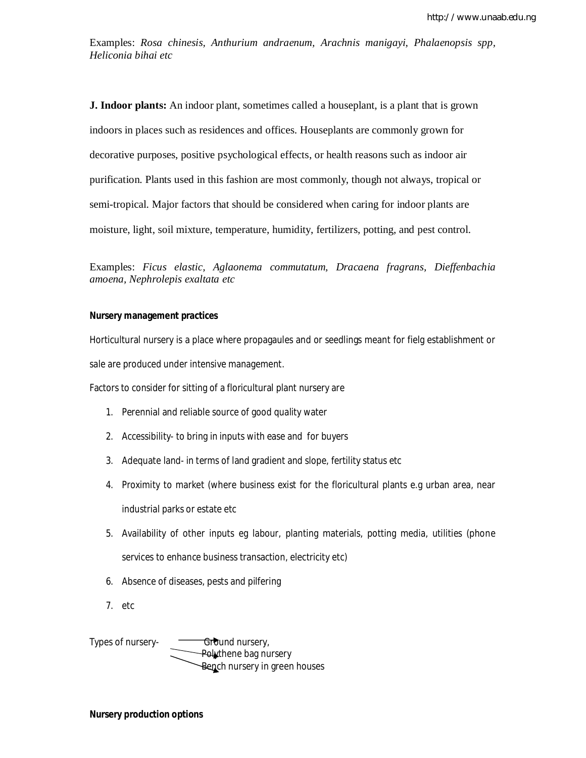Examples: *Rosa chinesis, Anthurium andraenum, Arachnis manigayi, Phalaenopsis spp, Heliconia bihai etc*

**J. Indoor plants:** An indoor plant, sometimes called a houseplant, is a plant that is grown indoors in places such as residences and offices. Houseplants are commonly grown for decorative purposes, positive psychological effects, or health reasons such as indoor air purification. Plants used in this fashion are most commonly, though not always, tropical or semi-tropical. Major factors that should be considered when caring for indoor plants are moisture, light, soil mixture, temperature, humidity, fertilizers, potting, and pest control.

Examples: *Ficus elastic, Aglaonema commutatum, Dracaena fragrans, Dieffenbachia amoena, Nephrolepis exaltata etc*

### **Nursery management practices**

Horticultural nursery is a place where propagaules and or seedlings meant for fielg establishment or sale are produced under intensive management.

Factors to consider for sitting of a floricultural plant nursery are

- 1. Perennial and reliable source of good quality water
- 2. Accessibility- to bring in inputs with ease and for buyers
- 3. Adequate land- in terms of land gradient and slope, fertility status etc
- 4. Proximity to market (where business exist for the floricultural plants e.g urban area, near industrial parks or estate etc
- 5. Availability of other inputs eg labour, planting materials, potting media, utilities (phone services to enhance business transaction, electricity etc)
- 6. Absence of diseases, pests and pilfering
- 7. etc

Types of nursery- $\overline{G}$  Ground nursery, Polythene bag nursery Bench nursery in green houses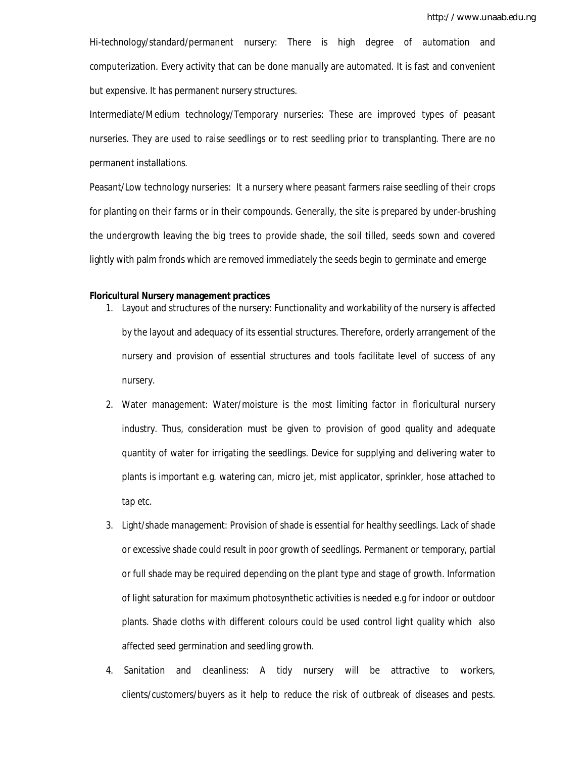Hi-technology/standard/permanent nursery: There is high degree of automation and computerization. Every activity that can be done manually are automated. It is fast and convenient but expensive. It has permanent nursery structures.

Intermediate/Medium technology/Temporary nurseries: These are improved types of peasant nurseries. They are used to raise seedlings or to rest seedling prior to transplanting. There are no permanent installations.

Peasant/Low technology nurseries: It a nursery where peasant farmers raise seedling of their crops for planting on their farms or in their compounds. Generally, the site is prepared by under-brushing the undergrowth leaving the big trees to provide shade, the soil tilled, seeds sown and covered lightly with palm fronds which are removed immediately the seeds begin to germinate and emerge

### **Floricultural Nursery management practices**

- 1. Layout and structures of the nursery: Functionality and workability of the nursery is affected by the layout and adequacy of its essential structures. Therefore, orderly arrangement of the nursery and provision of essential structures and tools facilitate level of success of any nursery.
- 2. Water management: Water/moisture is the most limiting factor in floricultural nursery industry. Thus, consideration must be given to provision of good quality and adequate quantity of water for irrigating the seedlings. Device for supplying and delivering water to plants is important e.g. watering can, micro jet, mist applicator, sprinkler, hose attached to tap etc.
- 3. Light/shade management: Provision of shade is essential for healthy seedlings. Lack of shade or excessive shade could result in poor growth of seedlings. Permanent or temporary, partial or full shade may be required depending on the plant type and stage of growth. Information of light saturation for maximum photosynthetic activities is needed e.g for indoor or outdoor plants. Shade cloths with different colours could be used control light quality which also affected seed germination and seedling growth.
- 4. Sanitation and cleanliness: A tidy nursery will be attractive to workers, clients/customers/buyers as it help to reduce the risk of outbreak of diseases and pests.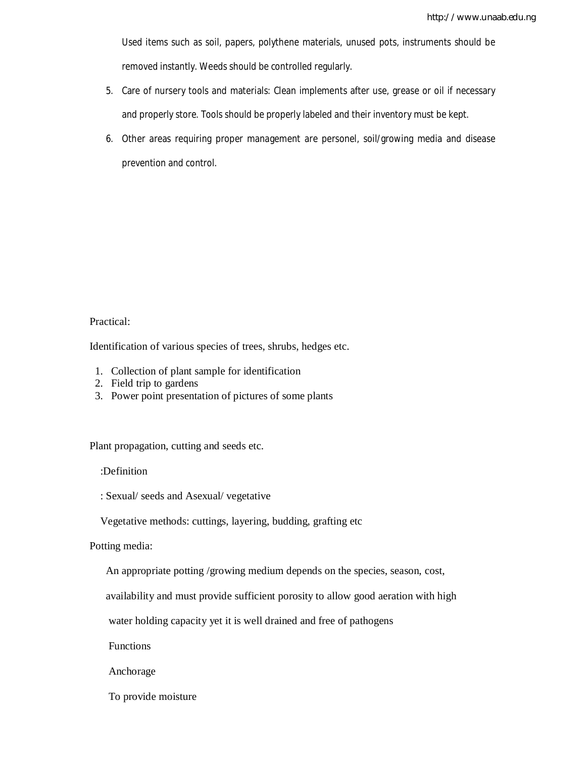Used items such as soil, papers, polythene materials, unused pots, instruments should be removed instantly. Weeds should be controlled regularly.

- 5. Care of nursery tools and materials: Clean implements after use, grease or oil if necessary and properly store. Tools should be properly labeled and their inventory must be kept.
- 6. Other areas requiring proper management are personel, soil/growing media and disease prevention and control.

### Practical:

Identification of various species of trees, shrubs, hedges etc.

- 1. Collection of plant sample for identification
- 2. Field trip to gardens
- 3. Power point presentation of pictures of some plants

Plant propagation, cutting and seeds etc.

:Definition

: Sexual/ seeds and Asexual/ vegetative

Vegetative methods: cuttings, layering, budding, grafting etc

Potting media:

An appropriate potting /growing medium depends on the species, season, cost,

availability and must provide sufficient porosity to allow good aeration with high

water holding capacity yet it is well drained and free of pathogens

Functions

Anchorage

To provide moisture